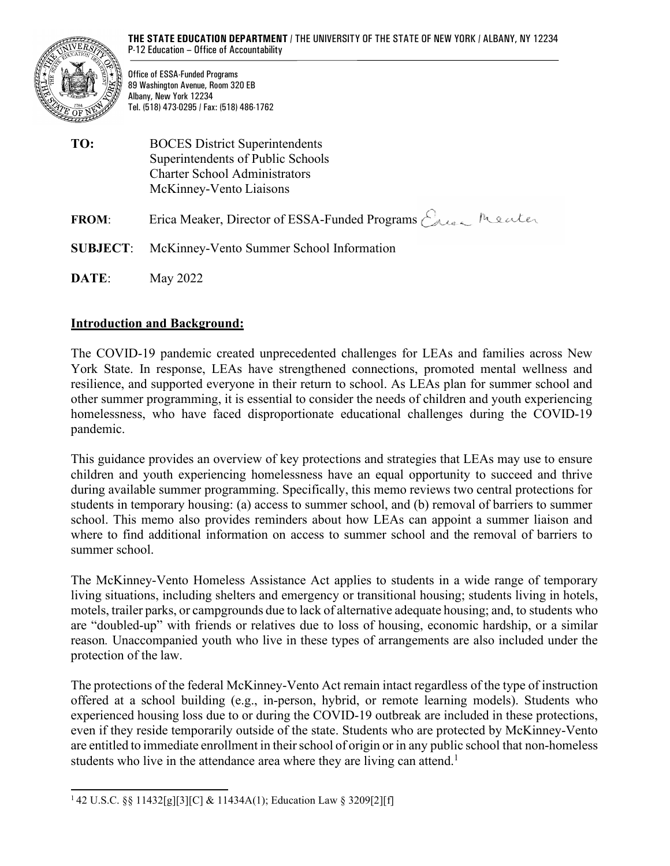

Office of ESSA-Funded Programs 89 Washington Avenue, Room 320 EB Albany, New York 12234 Tel. (518) 473-0295 / Fax: (518) 486-1762

**TO:** BOCES District Superintendents Superintendents of Public Schools Charter School Administrators McKinney-Vento Liaisons **FROM**: Erica Meaker, Director of ESSA-Funded Programs **SUBJECT**: McKinney-Vento Summer School Information **DATE**: May 2022

## **Introduction and Background:**

The COVID-19 pandemic created unprecedented challenges for LEAs and families across New York State. In response, LEAs have strengthened connections, promoted mental wellness and resilience, and supported everyone in their return to school. As LEAs plan for summer school and other summer programming, it is essential to consider the needs of children and youth experiencing homelessness, who have faced disproportionate educational challenges during the COVID-19 pandemic.

This guidance provides an overview of key protections and strategies that LEAs may use to ensure children and youth experiencing homelessness have an equal opportunity to succeed and thrive during available summer programming. Specifically, this memo reviews two central protections for students in temporary housing: (a) access to summer school, and (b) removal of barriers to summer school. This memo also provides reminders about how LEAs can appoint a summer liaison and where to find additional information on access to summer school and the removal of barriers to summer school.

The McKinney-Vento Homeless Assistance Act applies to students in a wide range of temporary living situations, including shelters and emergency or transitional housing; students living in hotels, motels, trailer parks, or campgrounds due to lack of alternative adequate housing; and, to students who are "doubled-up" with friends or relatives due to loss of housing, economic hardship, or a similar reason*.* Unaccompanied youth who live in these types of arrangements are also included under the protection of the law.

The protections of the federal McKinney-Vento Act remain intact regardless of the type of instruction offered at a school building (e.g., in-person, hybrid, or remote learning models). Students who experienced housing loss due to or during the COVID-19 outbreak are included in these protections, even if they reside temporarily outside of the state. Students who are protected by McKinney-Vento are entitled to immediate enrollment in theirschool of origin or in any public school that non-homeless students who live in the attendance area where they are living can attend.<sup>1</sup>

<span id="page-0-0"></span><sup>1 42</sup> U.S.C. §§ 11432[g][3][C] & 11434A(1); Education Law § 3209[2][f]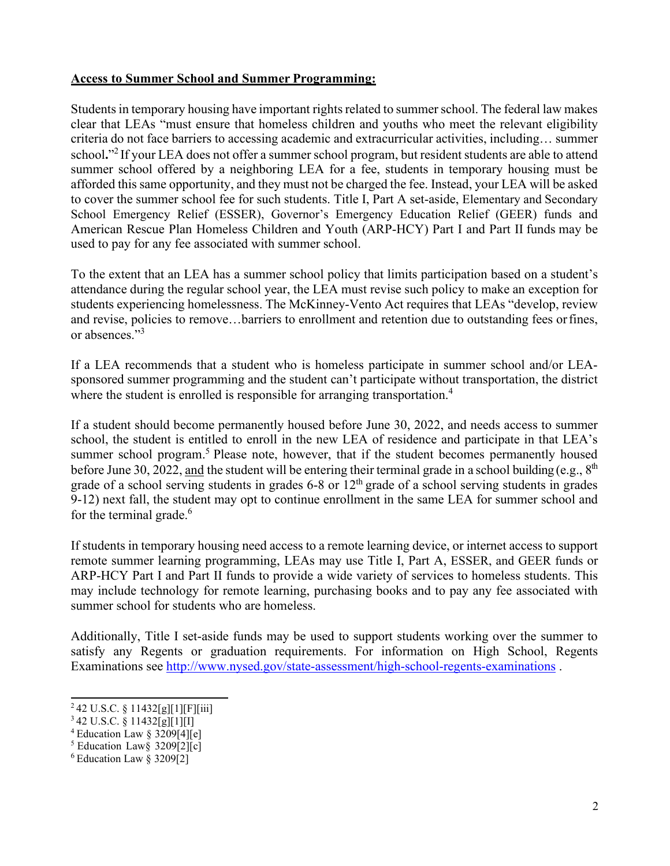## **Access to Summer School and Summer Programming:**

Students in temporary housing have important rights related to summer school. The federal law makes clear that LEAs "must ensure that homeless children and youths who meet the relevant eligibility criteria do not face barriers to accessing academic and extracurricular activities, including… summer school**.**["2](#page-1-0) If your LEA does not offer a summer school program, but resident students are able to attend summer school offered by a neighboring LEA for a fee, students in temporary housing must be afforded this same opportunity, and they must not be charged the fee. Instead, your LEA will be asked to cover the summer school fee for such students. Title I, Part A set-aside, Elementary and Secondary School Emergency Relief (ESSER), Governor's Emergency Education Relief (GEER) funds and American Rescue Plan Homeless Children and Youth (ARP-HCY) Part I and Part II funds may be used to pay for any fee associated with summer school.

To the extent that an LEA has a summer school policy that limits participation based on a student's attendance during the regular school year, the LEA must revise such policy to make an exception for students experiencing homelessness. The McKinney-Vento Act requires that LEAs "develop, review and revise, policies to remove...barriers to enrollment and retention due to outstanding fees or fines, or absences.["3](#page-1-1)

If a LEA recommends that a student who is homeless participate in summer school and/or LEAsponsored summer programming and the student can't participate without transportation, the district where the student is enrolled is responsible for arranging transportation.<sup>[4](#page-1-2)</sup>

If a student should become permanently housed before June 30, 2022, and needs access to summer school, the student is entitled to enroll in the new LEA of residence and participate in that LEA's summer school program.<sup>5</sup> Please note, however, that if the student becomes permanently housed before June 30, 2022, and the student will be entering their terminal grade in a school building (e.g.,  $8<sup>th</sup>$ grade of a school serving students in grades  $6-8$  or  $12<sup>th</sup>$  grade of a school serving students in grades 9-12) next fall, the student may opt to continue enrollment in the same LEA for summer school and for the terminal grade. $6$ 

If students in temporary housing need access to a remote learning device, or internet access to support remote summer learning programming, LEAs may use Title I, Part A, ESSER, and GEER funds or ARP-HCY Part I and Part II funds to provide a wide variety of services to homeless students. This may include technology for remote learning, purchasing books and to pay any fee associated with summer school for students who are homeless.

Additionally, Title I set-aside funds may be used to support students working over the summer to satisfy any Regents or graduation requirements. For information on High School, Regents Examinations see<http://www.nysed.gov/state-assessment/high-school-regents-examinations> .

<span id="page-1-1"></span><span id="page-1-0"></span><sup>2 42</sup> U.S.C. § 11432[g][1][F][iii]

<sup>3 42</sup> U.S.C. § 11432[g][1][I]

<span id="page-1-3"></span><span id="page-1-2"></span><sup>4</sup> Education Law § 3209[4][e]

<span id="page-1-4"></span><sup>5</sup> Education Law§ 3209[2][c]

 $6$  Education Law  $\S$  3209[2]